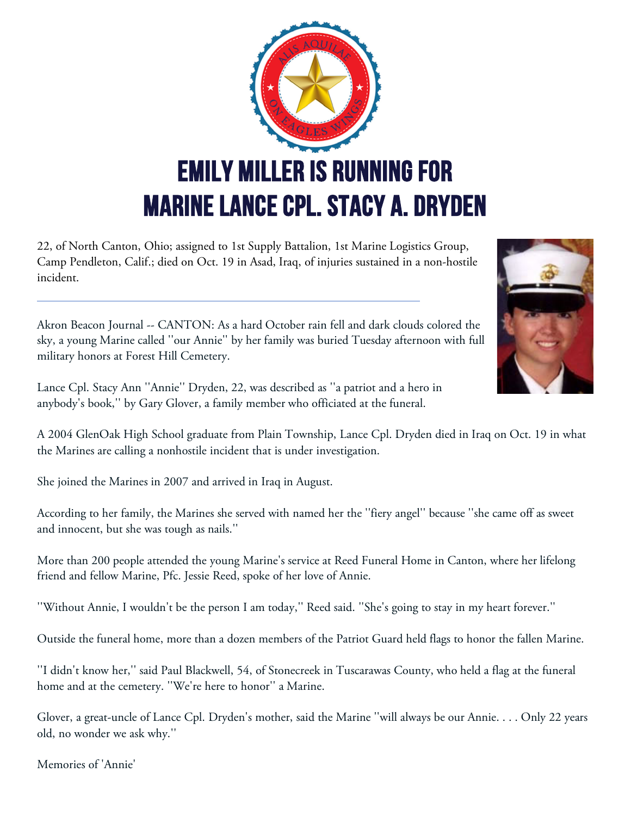

22, of North Canton, Ohio; assigned to 1st Supply Battalion, 1st Marine Logistics Group, Camp Pendleton, Calif.; died on Oct. 19 in Asad, Iraq, of injuries sustained in a non-hostile incident.

Akron Beacon Journal -- CANTON: As a hard October rain fell and dark clouds colored the sky, a young Marine called ''our Annie'' by her family was buried Tuesday afternoon with full military honors at Forest Hill Cemetery.

Lance Cpl. Stacy Ann ''Annie'' Dryden, 22, was described as ''a patriot and a hero in anybody's book,'' by Gary Glover, a family member who officiated at the funeral.

A 2004 GlenOak High School graduate from Plain Township, Lance Cpl. Dryden died in Iraq on Oct. 19 in what the Marines are calling a nonhostile incident that is under investigation.

She joined the Marines in 2007 and arrived in Iraq in August.

According to her family, the Marines she served with named her the ''fiery angel'' because ''she came off as sweet and innocent, but she was tough as nails.''

More than 200 people attended the young Marine's service at Reed Funeral Home in Canton, where her lifelong friend and fellow Marine, Pfc. Jessie Reed, spoke of her love of Annie.

''Without Annie, I wouldn't be the person I am today,'' Reed said. ''She's going to stay in my heart forever.''

Outside the funeral home, more than a dozen members of the Patriot Guard held flags to honor the fallen Marine.

''I didn't know her,'' said Paul Blackwell, 54, of Stonecreek in Tuscarawas County, who held a flag at the funeral home and at the cemetery. ''We're here to honor'' a Marine.

Glover, a great-uncle of Lance Cpl. Dryden's mother, said the Marine ''will always be our Annie. . . . Only 22 years old, no wonder we ask why.''

Memories of 'Annie'